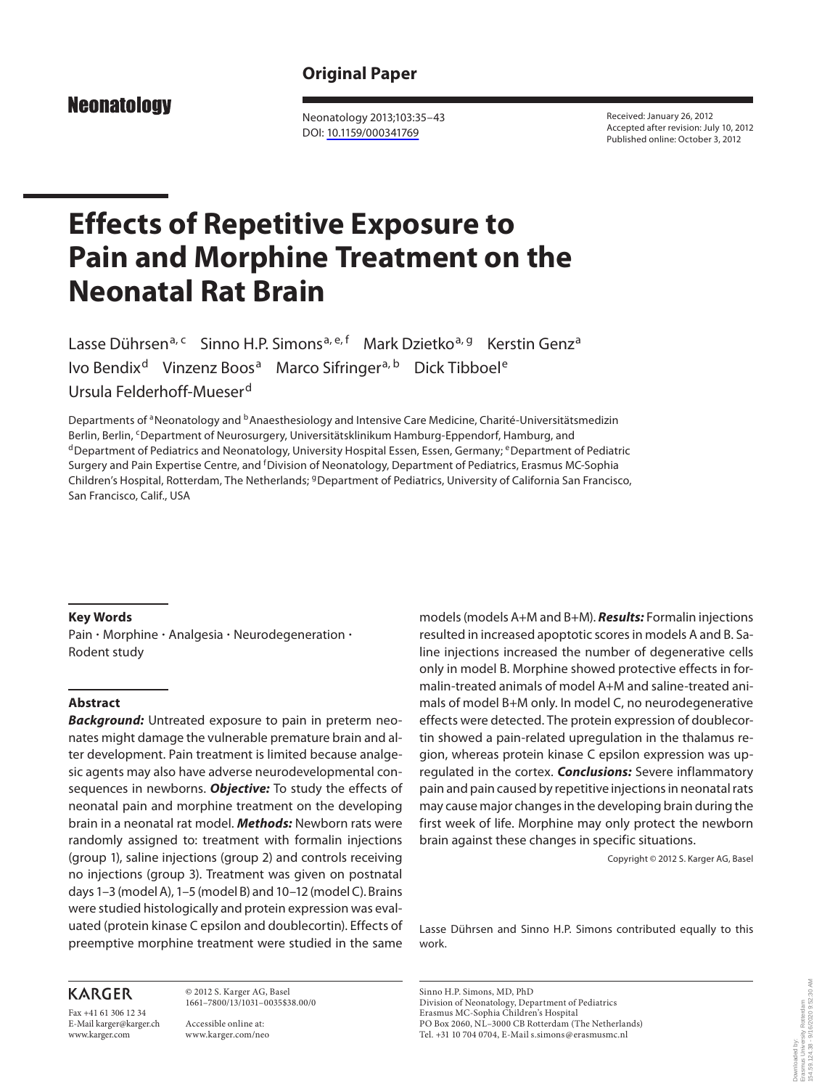## **Original Paper**

**Neonatology** 

 Neonatology 2013;103:35–43 DOI: [10.1159/000341769](http://dx.doi.org/10.1159%2F000341769)

 Received: January 26, 2012 Accepted after revision: July 10, 2012 Published online: October 3, 2012

# **Effects of Repetitive Exposure to Pain and Morphine Treatment on the Neonatal Rat Brain**

Lasse Dührsen<sup>a, c</sup> Sinno H.P. Simons<sup>a, e, f</sup> Mark Dzietko<sup>a, g</sup> Kerstin Genz<sup>a</sup> Ivo Bendix<sup>d</sup> Vinzenz Boos<sup>a</sup> Marco Sifringer<sup>a, b</sup> Dick Tibboel<sup>e</sup> Ursula Felderhoff-Mueser d

Departments of <sup>a</sup> Neonatology and <sup>b</sup> Anaesthesiology and Intensive Care Medicine, Charité-Universitätsmedizin Berlin, Berlin, <sup>c</sup> Department of Neurosurgery, Universitätsklinikum Hamburg-Eppendorf, Hamburg, and d Department of Pediatrics and Neonatology, University Hospital Essen, Germany; <sup>e</sup> Department of Pediatric Surgery and Pain Expertise Centre, and <sup>f</sup>Division of Neonatology, Department of Pediatrics, Erasmus MC-Sophia Children's Hospital, Rotterdam, The Netherlands; <sup>g</sup> Department of Pediatrics, University of California San Francisco, San Francisco, Calif., USA

#### **Key Words**

Pain · Morphine · Analgesia · Neurodegeneration · Rodent study

## **Abstract**

*Background:* Untreated exposure to pain in preterm neonates might damage the vulnerable premature brain and alter development. Pain treatment is limited because analgesic agents may also have adverse neurodevelopmental consequences in newborns. *Objective:* To study the effects of neonatal pain and morphine treatment on the developing brain in a neonatal rat model. *Methods:* Newborn rats were randomly assigned to: treatment with formalin injections (group 1), saline injections (group 2) and controls receiving no injections (group 3). Treatment was given on postnatal days 1–3 (model A), 1–5 (model B) and 10–12 (model C). Brains were studied histologically and protein expression was evaluated (protein kinase C epsilon and doublecortin). Effects of preemptive morphine treatment were studied in the same

## **KARGER**

Fax +41 61 306 12 34 E-Mail karger@karger.ch www.karger.com

 © 2012 S. Karger AG, Basel 1661–7800/13/1031–0035\$38.00/0

 Accessible online at: www.karger.com/neo models (models A+M and B+M). *Results:* Formalin injections resulted in increased apoptotic scores in models A and B. Saline injections increased the number of degenerative cells only in model B. Morphine showed protective effects in formalin-treated animals of model A+M and saline-treated animals of model B+M only. In model C, no neurodegenerative effects were detected. The protein expression of doublecortin showed a pain-related upregulation in the thalamus region, whereas protein kinase C epsilon expression was upregulated in the cortex. *Conclusions:* Severe inflammatory pain and pain caused by repetitive injections in neonatal rats may cause major changes in the developing brain during the first week of life. Morphine may only protect the newborn brain against these changes in specific situations.

Copyright © 2012 S. Karger AG, Basel

 Lasse Dührsen and Sinno H.P. Simons contributed equally to this work.

 Sinno H.P. Simons, MD, PhD Division of Neonatology, Department of Pediatrics Erasmus MC-Sophia Children's Hospital PO Box 2060, NL–3000 CB Rotterdam (The Netherlands) Tel. +31 10 704 0704, E-Mail s.simons @ erasmusmc.nl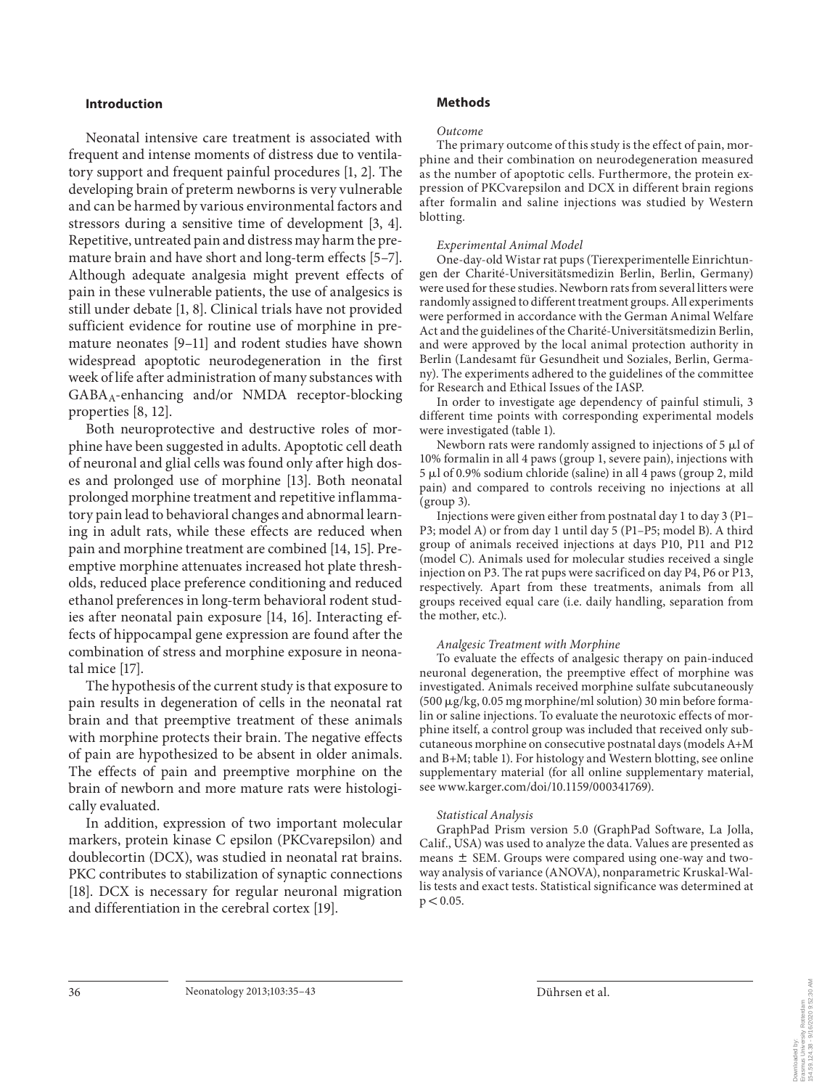## **Introduction**

 Neonatal intensive care treatment is associated with frequent and intense moments of distress due to ventilatory support and frequent painful procedures [1, 2]. The developing brain of preterm newborns is very vulnerable and can be harmed by various environmental factors and stressors during a sensitive time of development [3, 4]. Repetitive, untreated pain and distress may harm the premature brain and have short and long-term effects [5–7] . Although adequate analgesia might prevent effects of pain in these vulnerable patients, the use of analgesics is still under debate [1, 8]. Clinical trials have not provided sufficient evidence for routine use of morphine in premature neonates [9–11] and rodent studies have shown widespread apoptotic neurodegeneration in the first week of life after administration of many substances with  $GABA_A$ -enhancing and/or NMDA receptor-blocking properties [8, 12].

 Both neuroprotective and destructive roles of morphine have been suggested in adults. Apoptotic cell death of neuronal and glial cells was found only after high doses and prolonged use of morphine [13] . Both neonatal prolonged morphine treatment and repetitive inflammatory pain lead to behavioral changes and abnormal learning in adult rats, while these effects are reduced when pain and morphine treatment are combined [14, 15]. Preemptive morphine attenuates increased hot plate thresholds, reduced place preference conditioning and reduced ethanol preferences in long-term behavioral rodent studies after neonatal pain exposure [14, 16]. Interacting effects of hippocampal gene expression are found after the combination of stress and morphine exposure in neonatal mice [17].

 The hypothesis of the current study is that exposure to pain results in degeneration of cells in the neonatal rat brain and that preemptive treatment of these animals with morphine protects their brain. The negative effects of pain are hypothesized to be absent in older animals. The effects of pain and preemptive morphine on the brain of newborn and more mature rats were histologically evaluated.

 In addition, expression of two important molecular markers, protein kinase C epsilon (PKCvarepsilon) and doublecortin (DCX), was studied in neonatal rat brains. PKC contributes to stabilization of synaptic connections [18]. DCX is necessary for regular neuronal migration and differentiation in the cerebral cortex [19].

## **Methods**

#### *Outcome*

 The primary outcome of this study is the effect of pain, morphine and their combination on neurodegeneration measured as the number of apoptotic cells. Furthermore, the protein expression of PKCvarepsilon and DCX in different brain regions after formalin and saline injections was studied by Western blotting.

#### *Experimental Animal Model*

 One-day-old Wistar rat pups (Tierexperimentelle Einrichtungen der Charité-Universitätsmedizin Berlin, Berlin, Germany) were used for these studies. Newborn rats from several litters were randomly assigned to different treatment groups. All experiments were performed in accordance with the German Animal Welfare Act and the guidelines of the Charité-Universitätsmedizin Berlin, and were approved by the local animal protection authority in Berlin (Landesamt für Gesundheit und Soziales, Berlin, Germany). The experiments adhered to the guidelines of the committee for Research and Ethical Issues of the IASP.

 In order to investigate age dependency of painful stimuli, 3 different time points with corresponding experimental models were investigated (table 1).

Newborn rats were randomly assigned to injections of  $5 \mu l$  of 10% formalin in all 4 paws (group 1, severe pain), injections with 5 µl of 0.9% sodium chloride (saline) in all 4 paws (group 2, mild pain) and compared to controls receiving no injections at all (group 3).

 Injections were given either from postnatal day 1 to day 3 (P1– P3; model A) or from day 1 until day 5 (P1–P5; model B). A third group of animals received injections at days P10, P11 and P12 (model C). Animals used for molecular studies received a single injection on P3. The rat pups were sacrificed on day P4, P6 or P13, respectively. Apart from these treatments, animals from all groups received equal care (i.e. daily handling, separation from the mother, etc.).

#### *Analgesic Treatment with Morphine*

 To evaluate the effects of analgesic therapy on pain-induced neuronal degeneration, the preemptive effect of morphine was investigated. Animals received morphine sulfate subcutaneously (500 μg/kg, 0.05 mg morphine/ml solution) 30 min before formalin or saline injections. To evaluate the neurotoxic effects of morphine itself, a control group was included that received only subcutaneous morphine on consecutive postnatal days (models A+M and  $B+M$ ; table 1). For histology and Western blotting, see online supplementary material (for all online supplementary material, see www.karger.com/doi/10.1159/000341769).

#### *Statistical Analysis*

 GraphPad Prism version 5.0 (GraphPad Software, La Jolla, Calif., USA) was used to analyze the data. Values are presented as means  $\pm$  SEM. Groups were compared using one-way and twoway analysis of variance (ANOVA), nonparametric Kruskal-Wallis tests and exact tests. Statistical significance was determined at  $p < 0.05$ .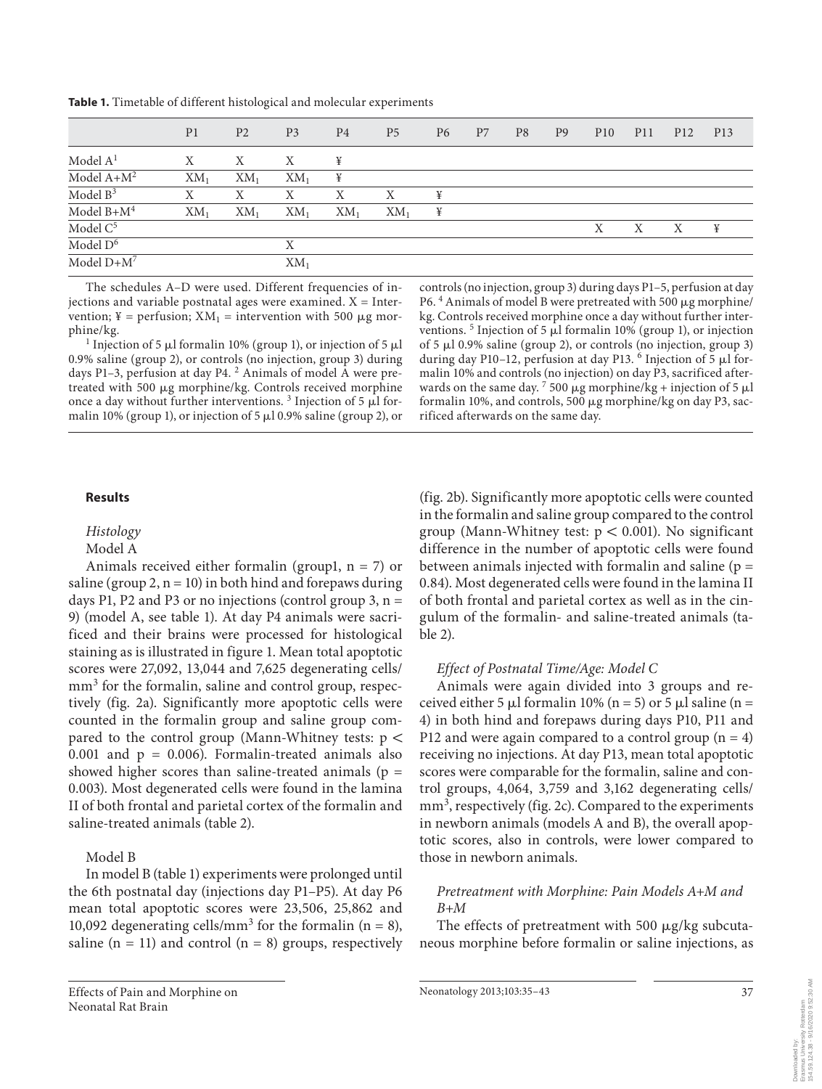| Table 1. Timetable of different histological and molecular experiments |
|------------------------------------------------------------------------|
|------------------------------------------------------------------------|

|               | P <sub>1</sub> | P <sub>2</sub> | P <sub>3</sub> | P <sub>4</sub> | P <sub>5</sub> | P6 | P <sub>7</sub> | P <sub>8</sub> | P <sub>9</sub> | P <sub>10</sub> | <b>P11</b> | P <sub>12</sub> | P <sub>13</sub> |
|---------------|----------------|----------------|----------------|----------------|----------------|----|----------------|----------------|----------------|-----------------|------------|-----------------|-----------------|
| Model $A1$    | Χ              | Χ              | Χ              | ¥              |                |    |                |                |                |                 |            |                 |                 |
| Model $A+M^2$ | $XM_1$         | $XM_1$         | $XM_1$         | ¥              |                |    |                |                |                |                 |            |                 |                 |
| Model $B^3$   | Х              | Χ              | Χ              | Χ              | Χ              | ¥  |                |                |                |                 |            |                 |                 |
| Model $B+M^4$ | $XM_1$         | $XM_1$         | $XM_1$         | $XM_1$         | $XM_1$         | ¥  |                |                |                |                 |            |                 |                 |
| Model $C^5$   |                |                |                |                |                |    |                |                |                | X               | Χ          | X               | ¥               |
| Model $D^6$   |                |                | Χ              |                |                |    |                |                |                |                 |            |                 |                 |
| Model $D+M^7$ |                |                | $XM_1$         |                |                |    |                |                |                |                 |            |                 |                 |

The schedules A–D were used. Different frequencies of injections and variable postnatal ages were examined.  $X =$  Intervention; ¥ = perfusion;  $XM_1$  = intervention with 500  $\mu$ g morphine/kg. <sup>1</sup>

Injection of 5  $\mu$ l formalin 10% (group 1), or injection of 5  $\mu$ l 0.9% saline (group 2), or controls (no injection, group 3) during days P1-3, perfusion at day P4.<sup>2</sup> Animals of model A were pretreated with 500 µg morphine/kg. Controls received morphine once a day without further interventions.<sup>3</sup> Injection of 5  $\mu$ l formalin 10% (group 1), or injection of 5  $\mu$ 10.9% saline (group 2), or controls (no injection, group 3) during days P1–5, perfusion at day P6.<sup>4</sup> Animals of model B were pretreated with 500 µg morphine/ kg. Controls received morphine once a day without further interventions.<sup>5</sup> Injection of 5 µl formalin 10% (group 1), or injection of 5  $\mu$ l 0.9% saline (group 2), or controls (no injection, group 3) during day P10-12, perfusion at day P13.<sup>6</sup> Injection of 5  $\mu$ l formalin 10% and controls (no injection) on day P3, sacrificed afterwards on the same day.  $7500 \mu g$  morphine/kg + injection of 5  $\mu$ l formalin 10%, and controls, 500 µg morphine/kg on day P3, sacrificed afterwards on the same day.

## **Results**

## *Histology*

## Model A

Animals received either formalin (group1,  $n = 7$ ) or saline (group 2,  $n = 10$ ) in both hind and forepaws during days P1, P2 and P3 or no injections (control group 3,  $n =$ 9) (model A, see table 1). At day P4 animals were sacrificed and their brains were processed for histological staining as is illustrated in figure 1. Mean total apoptotic scores were 27,092, 13,044 and 7,625 degenerating cells/ mm<sup>3</sup> for the formalin, saline and control group, respectively (fig. 2a). Significantly more apoptotic cells were counted in the formalin group and saline group compared to the control group (Mann-Whitney tests:  $p$  < 0.001 and  $p = 0.006$ ). Formalin-treated animals also showed higher scores than saline-treated animals ( $p =$ 0.003). Most degenerated cells were found in the lamina II of both frontal and parietal cortex of the formalin and saline-treated animals (table 2).

## Model B

In model B (table 1) experiments were prolonged until the 6th postnatal day (injections day P1–P5). At day P6 mean total apoptotic scores were 23,506, 25,862 and 10,092 degenerating cells/mm<sup>3</sup> for the formalin ( $n = 8$ ), saline  $(n = 11)$  and control  $(n = 8)$  groups, respectively

(fig. 2b). Significantly more apoptotic cells were counted in the formalin and saline group compared to the control group (Mann-Whitney test:  $p < 0.001$ ). No significant difference in the number of apoptotic cells were found between animals injected with formalin and saline  $(p =$ 0.84). Most degenerated cells were found in the lamina II of both frontal and parietal cortex as well as in the cingulum of the formalin- and saline-treated animals ( ta $ble 2).$ 

## *Effect of Postnatal Time/Age: Model C*

 Animals were again divided into 3 groups and received either 5  $\mu$ l formalin 10% (n = 5) or 5  $\mu$ l saline (n = 4) in both hind and forepaws during days P10, P11 and P12 and were again compared to a control group  $(n = 4)$ receiving no injections. At day P13, mean total apoptotic scores were comparable for the formalin, saline and control groups, 4,064, 3,759 and 3,162 degenerating cells/ mm<sup>3</sup>, respectively (fig. 2c). Compared to the experiments in newborn animals (models A and B), the overall apoptotic scores, also in controls, were lower compared to those in newborn animals.

## *Pretreatment with Morphine: Pain Models A+M and B+M*

The effects of pretreatment with 500  $\mu$ g/kg subcutaneous morphine before formalin or saline injections, as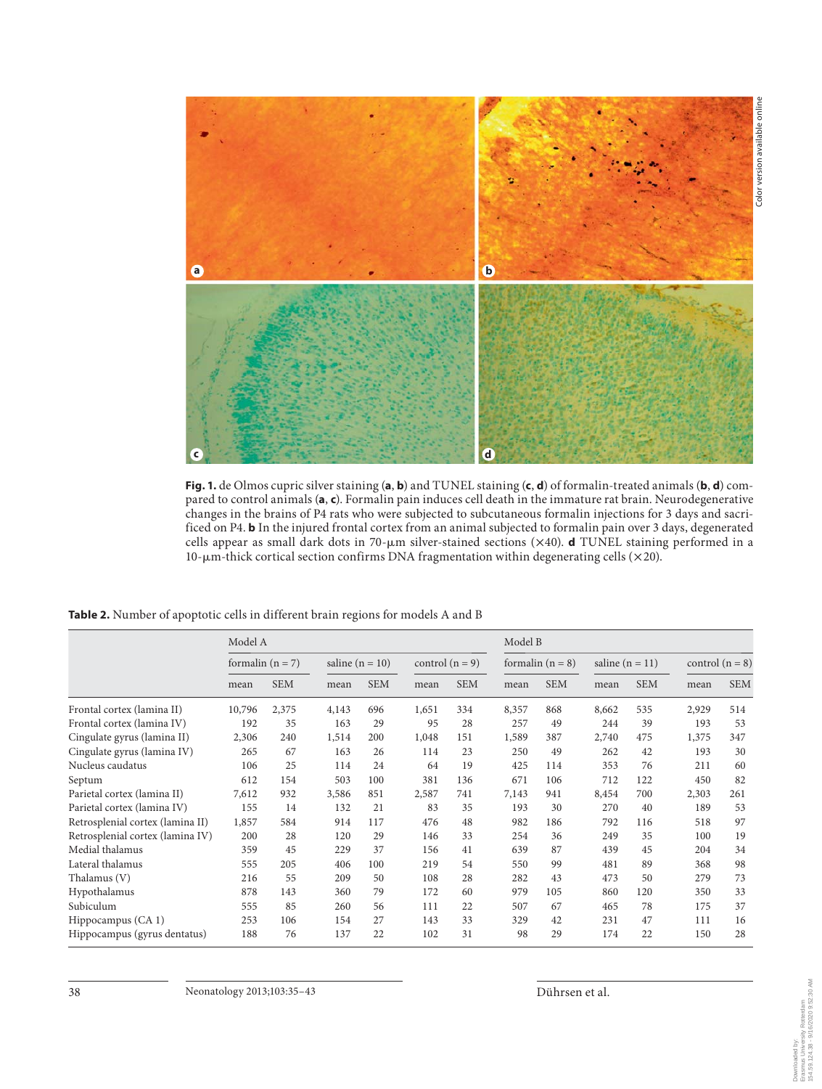

Fig. 1. de Olmos cupric silver staining (a, b) and TUNEL staining (c, d) of formalin-treated animals (b, d) compared to control animals (a, c). Formalin pain induces cell death in the immature rat brain. Neurodegenerative changes in the brains of P4 rats who were subjected to subcutaneous formalin injections for 3 days and sacrificed on P4. **b** In the injured frontal cortex from an animal subjected to formalin pain over 3 days, degenerated cells appear as small dark dots in 70-um silver-stained sections (×40). **d** TUNEL staining performed in a 10- $\mu$ m-thick cortical section confirms DNA fragmentation within degenerating cells ( $\times$ 20).

Table 2. Number of apoptotic cells in different brain regions for models A and B

|                                  | Model A            |            |                     |            |                   |            | Model B            |            |                     |            |                   |            |  |
|----------------------------------|--------------------|------------|---------------------|------------|-------------------|------------|--------------------|------------|---------------------|------------|-------------------|------------|--|
|                                  | formalin $(n = 7)$ |            | saline ( $n = 10$ ) |            | control $(n = 9)$ |            | formalin $(n = 8)$ |            | saline ( $n = 11$ ) |            | control $(n = 8)$ |            |  |
|                                  | mean               | <b>SEM</b> | mean                | <b>SEM</b> | mean              | <b>SEM</b> | mean               | <b>SEM</b> | mean                | <b>SEM</b> | mean              | <b>SEM</b> |  |
| Frontal cortex (lamina II)       | 10,796             | 2,375      | 4,143               | 696        | 1,651             | 334        | 8,357              | 868        | 8,662               | 535        | 2,929             | 514        |  |
| Frontal cortex (lamina IV)       | 192                | 35         | 163                 | 29         | 95                | 28         | 257                | 49         | 244                 | 39         | 193               | 53         |  |
| Cingulate gyrus (lamina II)      | 2,306              | 240        | 1,514               | 200        | 1,048             | 151        | 1,589              | 387        | 2,740               | 475        | 1,375             | 347        |  |
| Cingulate gyrus (lamina IV)      | 265                | 67         | 163                 | 26         | 114               | 23         | 250                | 49         | 262                 | 42         | 193               | 30         |  |
| Nucleus caudatus                 | 106                | 25         | 114                 | 24         | 64                | 19         | 425                | 114        | 353                 | 76         | 211               | 60         |  |
| Septum                           | 612                | 154        | 503                 | 100        | 381               | 136        | 671                | 106        | 712                 | 122        | 450               | 82         |  |
| Parietal cortex (lamina II)      | 7,612              | 932        | 3,586               | 851        | 2,587             | 741        | 7,143              | 941        | 8,454               | 700        | 2,303             | 261        |  |
| Parietal cortex (lamina IV)      | 155                | 14         | 132                 | 21         | 83                | 35         | 193                | 30         | 270                 | 40         | 189               | 53         |  |
| Retrosplenial cortex (lamina II) | 1,857              | 584        | 914                 | 117        | 476               | 48         | 982                | 186        | 792                 | 116        | 518               | 97         |  |
| Retrosplenial cortex (lamina IV) | 200                | 28         | 120                 | 29         | 146               | 33         | 254                | 36         | 249                 | 35         | 100               | 19         |  |
| Medial thalamus                  | 359                | 45         | 229                 | 37         | 156               | 41         | 639                | 87         | 439                 | 45         | 204               | 34         |  |
| Lateral thalamus                 | 555                | 205        | 406                 | 100        | 219               | 54         | 550                | 99         | 481                 | 89         | 368               | 98         |  |
| Thalamus (V)                     | 216                | 55         | 209                 | 50         | 108               | 28         | 282                | 43         | 473                 | 50         | 279               | 73         |  |
| Hypothalamus                     | 878                | 143        | 360                 | 79         | 172               | 60         | 979                | 105        | 860                 | 120        | 350               | 33         |  |
| Subiculum                        | 555                | 85         | 260                 | 56         | 111               | 22         | 507                | 67         | 465                 | 78         | 175               | 37         |  |
| Hippocampus (CA 1)               | 253                | 106        | 154                 | 27         | 143               | 33         | 329                | 42         | 231                 | 47         | 111               | 16         |  |
| Hippocampus (gyrus dentatus)     | 188                | 76         | 137                 | 22         | 102               | 31         | 98                 | 29         | 174                 | 22         | 150               | 28         |  |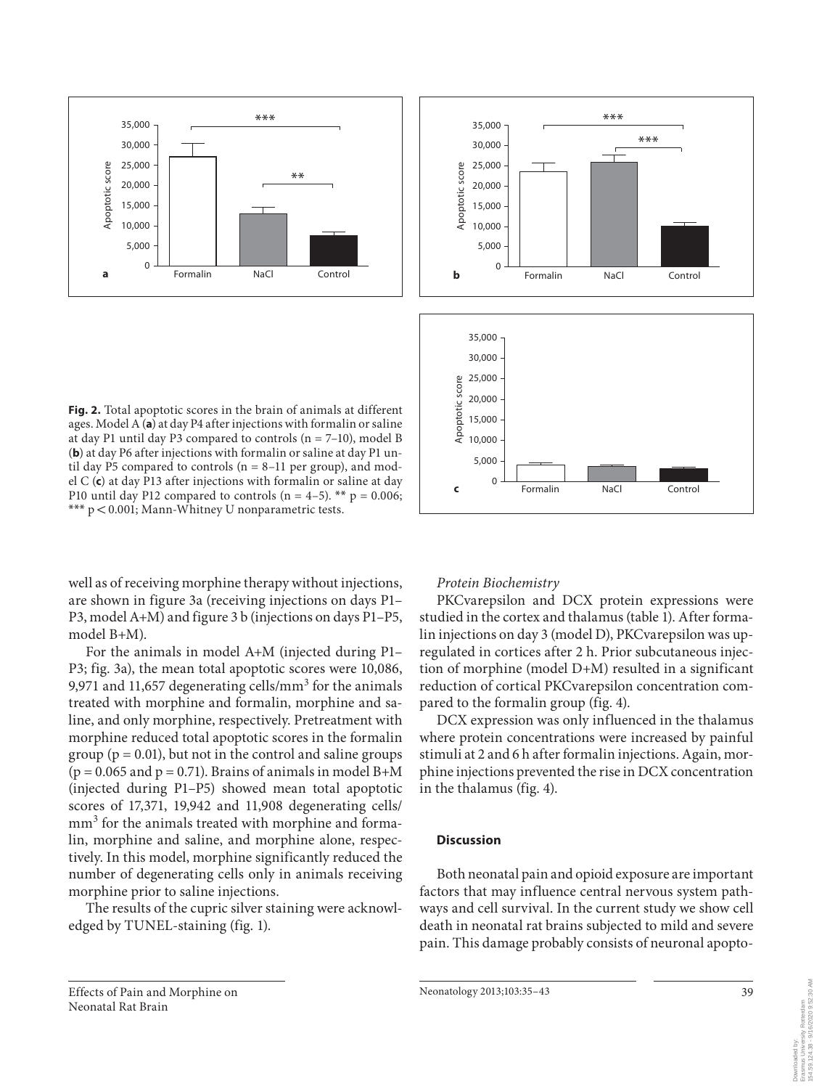



**Fig. 2.** Total apoptotic scores in the brain of animals at different ages. Model A (a) at day P4 after injections with formalin or saline at day P1 until day P3 compared to controls  $(n = 7-10)$ , model B (**b**) at day P6 after injections with formalin or saline at day P1 until day P5 compared to controls  $(n = 8-11$  per group), and model C (c) at day P13 after injections with formalin or saline at day P10 until day P12 compared to controls  $(n = 4-5)$ . \*\*  $p = 0.006$ ; \*\*\*  $p < 0.001$ ; Mann-Whitney U nonparametric tests.

well as of receiving morphine therapy without injections, are shown in figure 3a (receiving injections on days P1-P3, model A+M) and figure 3 b (injections on days P1–P5, model B+M).

 For the animals in model A+M (injected during P1– P3; fig. 3a), the mean total apoptotic scores were 10,086, 9,971 and 11,657 degenerating cells/mm<sup>3</sup> for the animals treated with morphine and formalin, morphine and saline, and only morphine, respectively. Pretreatment with morphine reduced total apoptotic scores in the formalin group ( $p = 0.01$ ), but not in the control and saline groups  $(p = 0.065$  and  $p = 0.71$ ). Brains of animals in model B+M (injected during P1–P5) showed mean total apoptotic scores of 17,371, 19,942 and 11,908 degenerating cells/ mm<sup>3</sup> for the animals treated with morphine and formalin, morphine and saline, and morphine alone, respectively. In this model, morphine significantly reduced the number of degenerating cells only in animals receiving morphine prior to saline injections.

 The results of the cupric silver staining were acknowledged by TUNEL-staining (fig. 1).

## *Protein Biochemistry*

 PKCvarepsilon and DCX protein expressions were studied in the cortex and thalamus (table 1). After formalin injections on day 3 (model D), PKCvarepsilon was upregulated in cortices after 2 h. Prior subcutaneous injection of morphine (model D+M) resulted in a significant reduction of cortical PKCvarepsilon concentration compared to the formalin group (fig. 4).

 DCX expression was only influenced in the thalamus where protein concentrations were increased by painful stimuli at 2 and 6 h after formalin injections. Again, morphine injections prevented the rise in DCX concentration in the thalamus (fig. 4).

#### **Discussion**

 Both neonatal pain and opioid exposure are important factors that may influence central nervous system pathways and cell survival. In the current study we show cell death in neonatal rat brains subjected to mild and severe pain. This damage probably consists of neuronal apopto-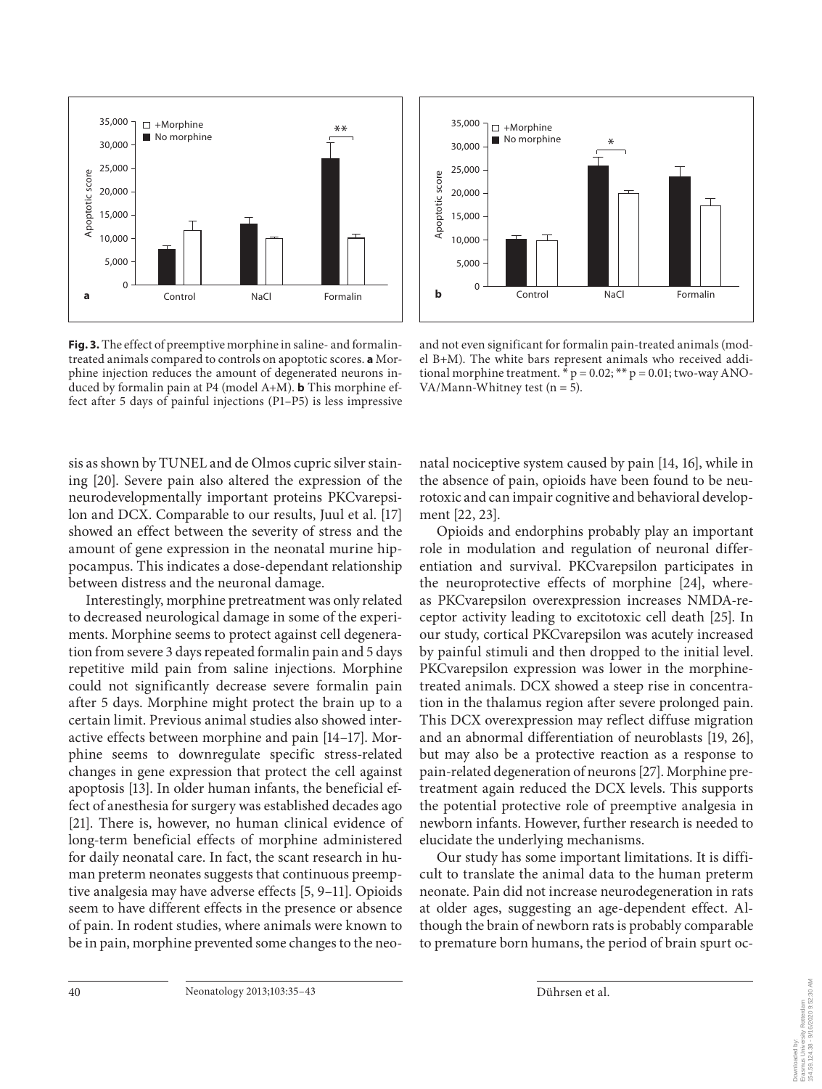

Fig. 3. The effect of preemptive morphine in saline- and formalintreated animals compared to controls on apoptotic scores. **a** Morphine injection reduces the amount of degenerated neurons induced by formalin pain at P4 (model A+M). **b** This morphine effect after 5 days of painful injections (P1–P5) is less impressive



and not even significant for formalin pain-treated animals (model B+M). The white bars represent animals who received additional morphine treatment.  $\bar{p} = 0.02$ ; \*\*  $p = 0.01$ ; two-way ANO-VA/Mann-Whitney test ( $n = 5$ ).

sis as shown by TUNEL and de Olmos cupric silver staining [20]. Severe pain also altered the expression of the neurodevelopmentally important proteins PKCvarepsilon and DCX. Comparable to our results, Juul et al. [17] showed an effect between the severity of stress and the amount of gene expression in the neonatal murine hippocampus. This indicates a dose-dependant relationship between distress and the neuronal damage.

 Interestingly, morphine pretreatment was only related to decreased neurological damage in some of the experiments. Morphine seems to protect against cell degeneration from severe 3 days repeated formalin pain and 5 days repetitive mild pain from saline injections. Morphine could not significantly decrease severe formalin pain after 5 days. Morphine might protect the brain up to a certain limit. Previous animal studies also showed interactive effects between morphine and pain [14–17] . Morphine seems to downregulate specific stress-related changes in gene expression that protect the cell against apoptosis [13] . In older human infants, the beneficial effect of anesthesia for surgery was established decades ago [21]. There is, however, no human clinical evidence of long-term beneficial effects of morphine administered for daily neonatal care. In fact, the scant research in human preterm neonates suggests that continuous preemptive analgesia may have adverse effects [5, 9–11]. Opioids seem to have different effects in the presence or absence of pain. In rodent studies, where animals were known to be in pain, morphine prevented some changes to the neonatal nociceptive system caused by pain [14, 16], while in the absence of pain, opioids have been found to be neurotoxic and can impair cognitive and behavioral development [22, 23].

 Opioids and endorphins probably play an important role in modulation and regulation of neuronal differentiation and survival. PKCvarepsilon participates in the neuroprotective effects of morphine [24], whereas PKCvarepsilon overexpression increases NMDA-receptor activity leading to excitotoxic cell death [25] . In our study, cortical PKCvarepsilon was acutely increased by painful stimuli and then dropped to the initial level. PKCvarepsilon expression was lower in the morphinetreated animals. DCX showed a steep rise in concentration in the thalamus region after severe prolonged pain. This DCX overexpression may reflect diffuse migration and an abnormal differentiation of neuroblasts [19, 26], but may also be a protective reaction as a response to pain-related degeneration of neurons [27] . Morphine pretreatment again reduced the DCX levels. This supports the potential protective role of preemptive analgesia in newborn infants. However, further research is needed to elucidate the underlying mechanisms.

 Our study has some important limitations. It is difficult to translate the animal data to the human preterm neonate. Pain did not increase neurodegeneration in rats at older ages, suggesting an age-dependent effect. Although the brain of newborn rats is probably comparable to premature born humans, the period of brain spurt oc-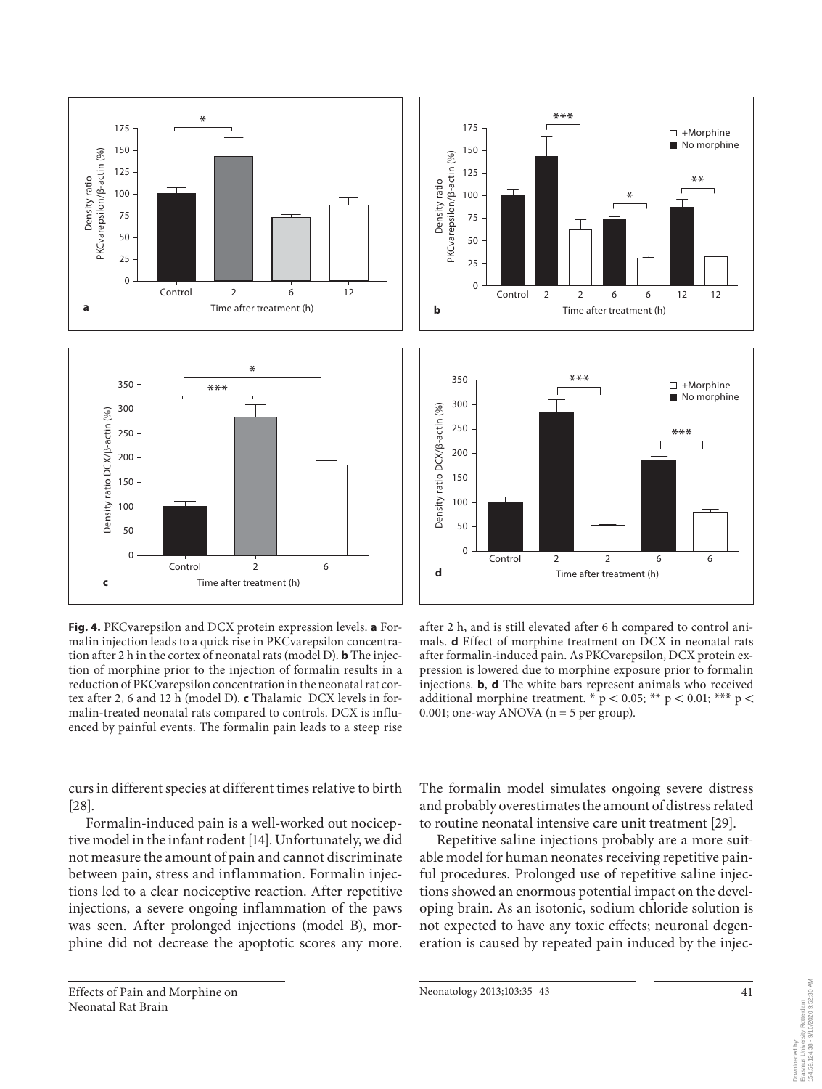

**Fig. 4.** PKCvarepsilon and DCX protein expression levels. **a** Formalin injection leads to a quick rise in PKCvarepsilon concentration after 2 h in the cortex of neonatal rats (model D). **b** The injection of morphine prior to the injection of formalin results in a reduction of PKCvarepsilon concentration in the neonatal rat cortex after 2, 6 and 12 h (model D). **c** Thalamic DCX levels in formalin-treated neonatal rats compared to controls. DCX is influenced by painful events. The formalin pain leads to a steep rise

curs in different species at different times relative to birth  $[28]$ .

 Formalin-induced pain is a well-worked out nociceptive model in the infant rodent [14] . Unfortunately, we did not measure the amount of pain and cannot discriminate between pain, stress and inflammation. Formalin injections led to a clear nociceptive reaction. After repetitive injections, a severe ongoing inflammation of the paws was seen. After prolonged injections (model B), morphine did not decrease the apoptotic scores any more.



after 2 h, and is still elevated after 6 h compared to control animals. **d** Effect of morphine treatment on DCX in neonatal rats after formalin-induced pain. As PKCvarepsilon, DCX protein expression is lowered due to morphine exposure prior to formalin injections. **b**, **d** The white bars represent animals who received additional morphine treatment.  $\sqrt{\frac{2}{p}} < 0.05$ ; \*\*\* p < 0.01; \*\*\* p < 0.001; one-way ANOVA ( $n = 5$  per group).

The formalin model simulates ongoing severe distress and probably overestimates the amount of distress related to routine neonatal intensive care unit treatment [29] .

 Repetitive saline injections probably are a more suitable model for human neonates receiving repetitive painful procedures. Prolonged use of repetitive saline injections showed an enormous potential impact on the developing brain. As an isotonic, sodium chloride solution is not expected to have any toxic effects; neuronal degeneration is caused by repeated pain induced by the injec-

Neonatology 2013;103:35-43 41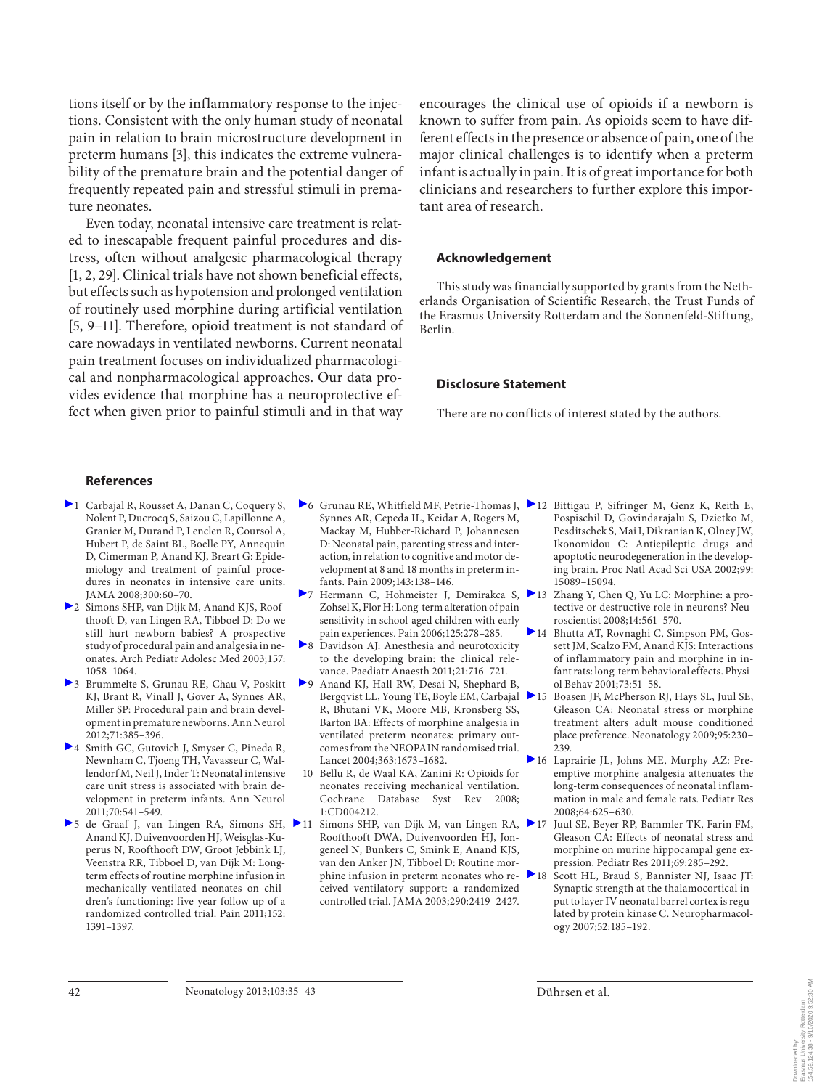tions itself or by the inflammatory response to the injections. Consistent with the only human study of neonatal pain in relation to brain microstructure development in preterm humans [3], this indicates the extreme vulnerability of the premature brain and the potential danger of frequently repeated pain and stressful stimuli in premature neonates.

 Even today, neonatal intensive care treatment is related to inescapable frequent painful procedures and distress, often without analgesic pharmacological therapy [1, 2, 29]. Clinical trials have not shown beneficial effects, but effects such as hypotension and prolonged ventilation of routinely used morphine during artificial ventilation [5, 9-11]. Therefore, opioid treatment is not standard of care nowadays in ventilated newborns. Current neonatal pain treatment focuses on individualized pharmacological and nonpharmacological approaches. Our data provides evidence that morphine has a neuroprotective effect when given prior to painful stimuli and in that way

encourages the clinical use of opioids if a newborn is known to suffer from pain. As opioids seem to have different effects in the presence or absence of pain, one of the major clinical challenges is to identify when a preterm infant is actually in pain. It is of great importance for both clinicians and researchers to further explore this important area of research.

#### **Acknowledgement**

 This study was financially supported by grants from the Netherlands Organisation of Scientific Research, the Trust Funds of the Erasmus University Rotterdam and the Sonnenfeld-Stiftung, Berlin.

#### **Disclosure Statement**

There are no conflicts of interest stated by the authors.

#### **References**

- ▶ 1 Carbaial R, Rousset A, Danan C, Coquery S, Nolent P, Ducrocq S, Saizou C, Lapillonne A, Granier M, Durand P, Lenclen R, Coursol A, Hubert P, de Saint BL, Boelle PY, Annequin D, Cimerman P, Anand KJ, Breart G: Epidemiology and treatment of painful procedures in neonates in intensive care units. JAMA 2008;300:60–70.
- 2 Simons SHP, van Dijk M, Anand KJS, Roofthooft D, van Lingen RA, Tibboel D: Do we still hurt newborn babies? A prospective study of procedural pain and analgesia in neonates. Arch Pediatr Adolesc Med 2003;157: 1058–1064.
- 3 Brummelte S, Grunau RE, Chau V, Poskitt KJ, Brant R, Vinall J, Gover A, Synnes AR, Miller SP: Procedural pain and brain development in premature newborns. Ann Neurol 2012;71:385–396.
- 4 Smith GC, Gutovich J, Smyser C, Pineda R, Newnham C, Tjoeng TH, Vavasseur C, Wallendorf M, Neil J, Inder T: Neonatal intensive care unit stress is associated with brain development in preterm infants. Ann Neurol 2011;70:541–549.
- ▶ 5 de Graaf J, van Lingen RA, Simons SH, ▶ 11 Anand KJ, Duivenvoorden HJ, Weisglas-Kuperus N, Roofthooft DW, Groot Jebbink LJ, Veenstra RR, Tibboel D, van Dijk M: Longterm effects of routine morphine infusion in mechanically ventilated neonates on children's functioning: five-year follow-up of a randomized controlled trial. Pain 2011;152: 1391–1397.
- 6 Grunau RE, Whitfield MF, Petrie-Thomas J, 12 Bittigau P, Sifringer M, Genz K, Reith E, Synnes AR, Cepeda IL, Keidar A, Rogers M, Mackay M, Hubber-Richard P, Johannesen D: Neonatal pain, parenting stress and interaction, in relation to cognitive and motor development at 8 and 18 months in preterm infants. Pain 2009;143:138–146.
- 7 Hermann C, Hohmeister J, Demirakca S, Zohsel K, Flor H: Long-term alteration of pain sensitivity in school-aged children with early pain experiences. Pain 2006;125:278–285.
- 8 Davidson AJ: Anesthesia and neurotoxicity to the developing brain: the clinical relevance. Paediatr Anaesth 2011;21:716–721.
- 9 Anand KJ, Hall RW, Desai N, Shephard B, Bergqvist LL, Young TE, Boyle EM, Carbajal R, Bhutani VK, Moore MB, Kronsberg SS, Barton BA: Effects of morphine analgesia in ventilated preterm neonates: primary outcomes from the NEOPAIN randomised trial. Lancet 2004;363:1673–1682.
- 10 Bellu R, de Waal KA, Zanini R: Opioids for neonates receiving mechanical ventilation. Cochrane Database Syst Rev 2008; 1:CD004212.
- Simons SHP, van Dijk M, van Lingen RA,  $\triangleright$  17 Roofthooft DWA, Duivenvoorden HJ, Jongeneel N, Bunkers C, Smink E, Anand KJS, van den Anker JN, Tibboel D: Routine morphine infusion in preterm neonates who received ventilatory support: a randomized controlled trial. JAMA 2003;290:2419–2427.
- Pospischil D, Govindarajalu S, Dzietko M, Pesditschek S, Mai I, Dikranian K, Olney JW, Ikonomidou C: Antiepileptic drugs and apoptotic neurodegeneration in the developing brain. Proc Natl Acad Sci USA 2002;99: 15089–15094.
- 13 Zhang Y, Chen Q, Yu LC: Morphine: a protective or destructive role in neurons? Neuroscientist 2008;14:561–570.
- 14 Bhutta AT, Rovnaghi C, Simpson PM, Gossett JM, Scalzo FM, Anand KJS: Interactions of inflammatory pain and morphine in infant rats: long-term behavioral effects. Physiol Behav 2001;73:51–58.
- 15 Boasen JF, McPherson RJ, Hays SL, Juul SE, Gleason CA: Neonatal stress or morphine treatment alters adult mouse conditioned place preference. Neonatology 2009;95:230–  $239.$
- 16 Laprairie JL, Johns ME, Murphy AZ: Preemptive morphine analgesia attenuates the long-term consequences of neonatal inflammation in male and female rats. Pediatr Res 2008;64:625–630.
	- Juul SE, Beyer RP, Bammler TK, Farin FM, Gleason CA: Effects of neonatal stress and morphine on murine hippocampal gene expression. Pediatr Res 2011;69:285–292.
	- Scott HL, Braud S, Bannister NJ, Isaac JT: Synaptic strength at the thalamocortical input to layer IV neonatal barrel cortex is regulated by protein kinase C. Neuropharmacology 2007;52:185–192.